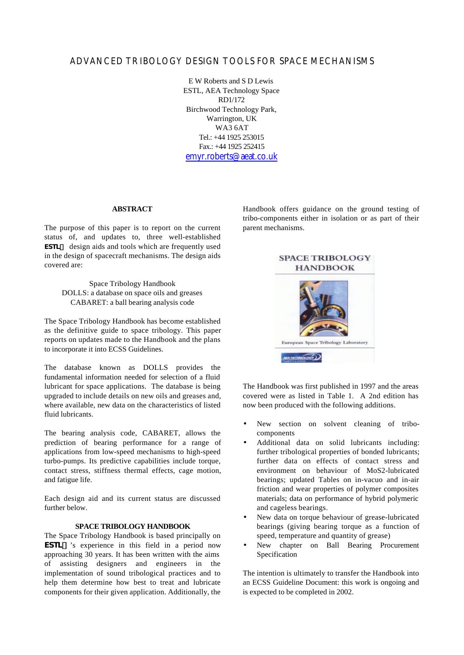# ADVANCED TRIBOLOGY DESIGN TOOLS FOR SPACE MECHANISMS

E W Roberts and S D Lewis ESTL, AEA Technology Space RD1/172 Birchwood Technology Park, Warrington, UK WA3 6AT Tel.: +44 1925 253015 Fax.: +44 1925 252415 emyr.roberts@aeat.co.uk

#### **ABSTRACT**

The purpose of this paper is to report on the current status of, and updates to, three well-established *ESTL***ä** design aids and tools which are frequently used in the design of spacecraft mechanisms. The design aids covered are:

Space Tribology Handbook DOLLS: a database on space oils and greases CABARET: a ball bearing analysis code

The Space Tribology Handbook has become established as the definitive guide to space tribology. This paper reports on updates made to the Handbook and the plans to incorporate it into ECSS Guidelines.

The database known as DOLLS provides the fundamental information needed for selection of a fluid lubricant for space applications. The database is being upgraded to include details on new oils and greases and, where available, new data on the characteristics of listed fluid lubricants.

The bearing analysis code, CABARET, allows the prediction of bearing performance for a range of applications from low-speed mechanisms to high-speed turbo-pumps. Its predictive capabilities include torque, contact stress, stiffness thermal effects, cage motion, and fatigue life.

Each design aid and its current status are discussed further below.

#### **SPACE TRIBOLOGY HANDBOOK**

The Space Tribology Handbook is based principally on *ESTL***ä** 's experience in this field in a period now approaching 30 years. It has been written with the aims of assisting designers and engineers in the implementation of sound tribological practices and to help them determine how best to treat and lubricate components for their given application. Additionally, the

Handbook offers guidance on the ground testing of tribo-components either in isolation or as part of their parent mechanisms.



The Handbook was first published in 1997 and the areas covered were as listed in Table 1. A 2nd edition has now been produced with the following additions.

- New section on solvent cleaning of tribocomponents
- Additional data on solid lubricants including: further tribological properties of bonded lubricants; further data on effects of contact stress and environment on behaviour of MoS2-lubricated bearings; updated Tables on in-vacuo and in-air friction and wear properties of polymer composites materials; data on performance of hybrid polymeric and cageless bearings.
- New data on torque behaviour of grease-lubricated bearings (giving bearing torque as a function of speed, temperature and quantity of grease)
- New chapter on Ball Bearing Procurement Specification

The intention is ultimately to transfer the Handbook into an ECSS Guideline Document: this work is ongoing and is expected to be completed in 2002.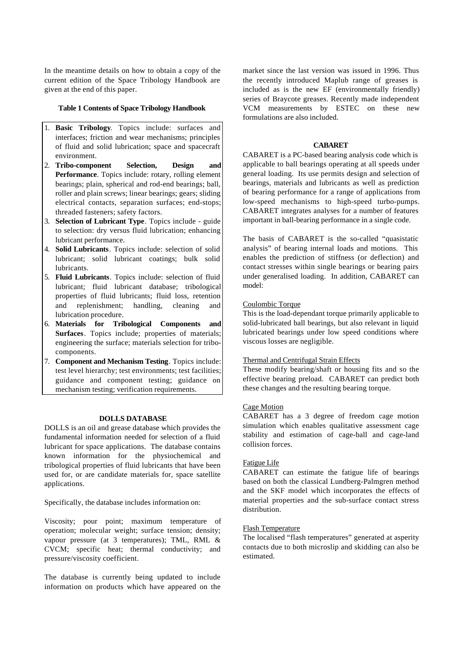In the meantime details on how to obtain a copy of the current edition of the Space Tribology Handbook are given at the end of this paper.

## **Table 1 Contents of Space Tribology Handbook**

- 1. **Basic Tribology**. Topics include: surfaces and interfaces; friction and wear mechanisms; principles of fluid and solid lubrication; space and spacecraft environment.
- 2. **Tribo-component Selection, Design and Performance**. Topics include: rotary, rolling element bearings; plain, spherical and rod-end bearings; ball, roller and plain screws; linear bearings; gears; sliding electrical contacts, separation surfaces; end-stops; threaded fasteners; safety factors.
- 3. **Selection of Lubricant Type**. Topics include guide to selection: dry versus fluid lubrication; enhancing lubricant performance.
- 4. **Solid Lubricants**. Topics include: selection of solid lubricant; solid lubricant coatings; bulk solid lubricants.
- 5. **Fluid Lubricants**. Topics include: selection of fluid lubricant; fluid lubricant database; tribological properties of fluid lubricants; fluid loss, retention and replenishment; handling, cleaning and lubrication procedure.
- 6. **Materials for Tribological Components and Surfaces**. Topics include; properties of materials; engineering the surface; materials selection for tribocomponents.
- 7. **Component and Mechanism Testing**. Topics include: test level hierarchy; test environments; test facilities; guidance and component testing; guidance on mechanism testing; verification requirements.

#### **DOLLS DATABASE**

DOLLS is an oil and grease database which provides the fundamental information needed for selection of a fluid lubricant for space applications. The database contains known information for the physiochemical and tribological properties of fluid lubricants that have been used for, or are candidate materials for, space satellite applications.

Specifically, the database includes information on:

Viscosity; pour point; maximum temperature of operation; molecular weight; surface tension; density; vapour pressure (at 3 temperatures); TML, RML & CVCM; specific heat; thermal conductivity; and pressure/viscosity coefficient.

The database is currently being updated to include information on products which have appeared on the

market since the last version was issued in 1996. Thus the recently introduced Maplub range of greases is included as is the new EF (environmentally friendly) series of Braycote greases. Recently made independent VCM measurements by ESTEC on these new formulations are also included.

### **CABARET**

CABARET is a PC-based bearing analysis code which is applicable to ball bearings operating at all speeds under general loading. Its use permits design and selection of bearings, materials and lubricants as well as prediction of bearing performance for a range of applications from low-speed mechanisms to high-speed turbo-pumps. CABARET integrates analyses for a number of features important in ball-bearing performance in a single code.

The basis of CABARET is the so-called "quasistatic analysis" of bearing internal loads and motions. This enables the prediction of stiffness (or deflection) and contact stresses within single bearings or bearing pairs under generalised loading. In addition, CABARET can model:

# Coulombic Torque

This is the load-dependant torque primarily applicable to solid-lubricated ball bearings, but also relevant in liquid lubricated bearings under low speed conditions where viscous losses are negligible.

### Thermal and Centrifugal Strain Effects

These modify bearing/shaft or housing fits and so the effective bearing preload. CABARET can predict both these changes and the resulting bearing torque.

### Cage Motion

CABARET has a 3 degree of freedom cage motion simulation which enables qualitative assessment cage stability and estimation of cage-ball and cage-land collision forces.

# Fatigue Life

CABARET can estimate the fatigue life of bearings based on both the classical Lundberg-Palmgren method and the SKF model which incorporates the effects of material properties and the sub-surface contact stress distribution.

#### Flash Temperature

The localised "flash temperatures" generated at asperity contacts due to both microslip and skidding can also be estimated.